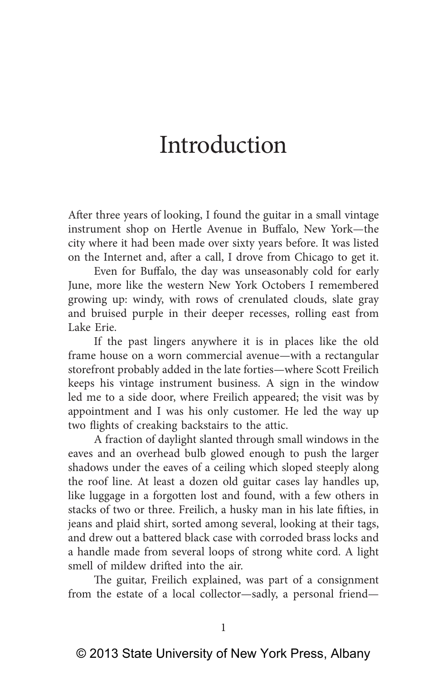## Introduction

After three years of looking, I found the guitar in a small vintage instrument shop on Hertle Avenue in Buffalo, New York—the city where it had been made over sixty years before. It was listed on the Internet and, after a call, I drove from Chicago to get it.

Even for Buffalo, the day was unseasonably cold for early June, more like the western New York Octobers I remembered growing up: windy, with rows of crenulated clouds, slate gray and bruised purple in their deeper recesses, rolling east from Lake Erie.

If the past lingers anywhere it is in places like the old frame house on a worn commercial avenue—with a rectangular storefront probably added in the late forties—where Scott Freilich keeps his vintage instrument business. A sign in the window led me to a side door, where Freilich appeared; the visit was by appointment and I was his only customer. He led the way up two flights of creaking backstairs to the attic.

A fraction of daylight slanted through small windows in the eaves and an overhead bulb glowed enough to push the larger shadows under the eaves of a ceiling which sloped steeply along the roof line. At least a dozen old guitar cases lay handles up, like luggage in a forgotten lost and found, with a few others in stacks of two or three. Freilich, a husky man in his late fifties, in jeans and plaid shirt, sorted among several, looking at their tags, and drew out a battered black case with corroded brass locks and a handle made from several loops of strong white cord. A light smell of mildew drifted into the air.

The guitar, Freilich explained, was part of a consignment from the estate of a local collector—sadly, a personal friend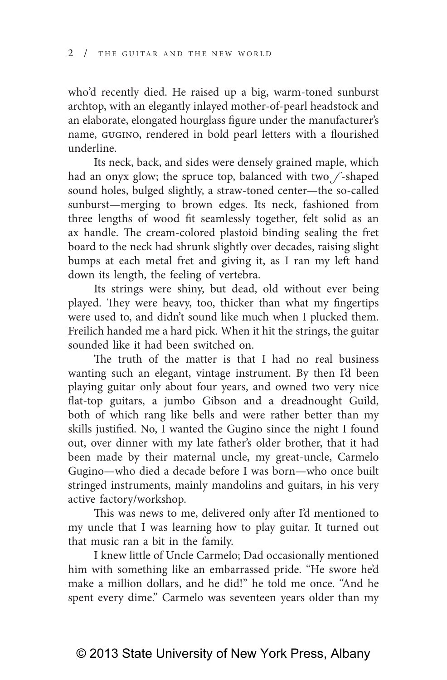who'd recently died. He raised up a big, warm-toned sunburst archtop, with an elegantly inlayed mother-of-pearl headstock and an elaborate, elongated hourglass figure under the manufacturer's name, gugino, rendered in bold pearl letters with a flourished underline.

Its neck, back, and sides were densely grained maple, which had an onyx glow; the spruce top, balanced with two *f* -shaped sound holes, bulged slightly, a straw-toned center—the so-called sunburst—merging to brown edges. Its neck, fashioned from three lengths of wood fit seamlessly together, felt solid as an ax handle. The cream-colored plastoid binding sealing the fret board to the neck had shrunk slightly over decades, raising slight bumps at each metal fret and giving it, as I ran my left hand down its length, the feeling of vertebra.

Its strings were shiny, but dead, old without ever being played. They were heavy, too, thicker than what my fingertips were used to, and didn't sound like much when I plucked them. Freilich handed me a hard pick. When it hit the strings, the guitar sounded like it had been switched on.

The truth of the matter is that I had no real business wanting such an elegant, vintage instrument. By then I'd been playing guitar only about four years, and owned two very nice flat-top guitars, a jumbo Gibson and a dreadnought Guild, both of which rang like bells and were rather better than my skills justified. No, I wanted the Gugino since the night I found out, over dinner with my late father's older brother, that it had been made by their maternal uncle, my great-uncle, Carmelo Gugino—who died a decade before I was born—who once built stringed instruments, mainly mandolins and guitars, in his very active factory/workshop.

This was news to me, delivered only after I'd mentioned to my uncle that I was learning how to play guitar. It turned out that music ran a bit in the family.

I knew little of Uncle Carmelo; Dad occasionally mentioned him with something like an embarrassed pride. "He swore he'd make a million dollars, and he did!" he told me once. "And he spent every dime." Carmelo was seventeen years older than my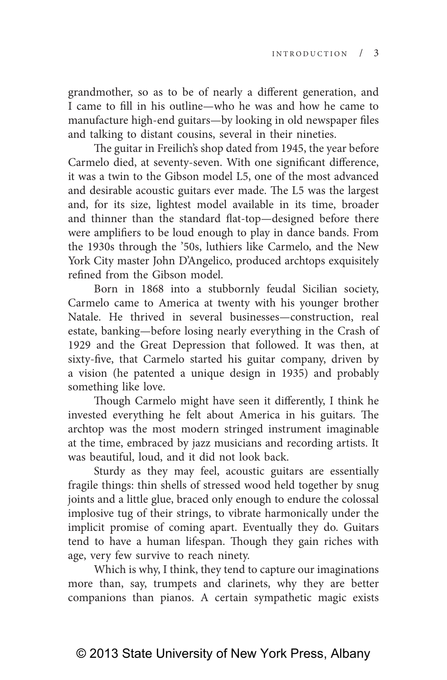grandmother, so as to be of nearly a different generation, and I came to fill in his outline—who he was and how he came to manufacture high-end guitars—by looking in old newspaper files and talking to distant cousins, several in their nineties.

The guitar in Freilich's shop dated from 1945, the year before Carmelo died, at seventy-seven. With one significant difference, it was a twin to the Gibson model L5, one of the most advanced and desirable acoustic guitars ever made. The L5 was the largest and, for its size, lightest model available in its time, broader and thinner than the standard flat-top—designed before there were amplifiers to be loud enough to play in dance bands. From the 1930s through the '50s, luthiers like Carmelo, and the New York City master John D'Angelico, produced archtops exquisitely refined from the Gibson model.

Born in 1868 into a stubbornly feudal Sicilian society, Carmelo came to America at twenty with his younger brother Natale. He thrived in several businesses—construction, real estate, banking—before losing nearly everything in the Crash of 1929 and the Great Depression that followed. It was then, at sixty-five, that Carmelo started his guitar company, driven by a vision (he patented a unique design in 1935) and probably something like love.

Though Carmelo might have seen it differently, I think he invested everything he felt about America in his guitars. The archtop was the most modern stringed instrument imaginable at the time, embraced by jazz musicians and recording artists. It was beautiful, loud, and it did not look back.

Sturdy as they may feel, acoustic guitars are essentially fragile things: thin shells of stressed wood held together by snug joints and a little glue, braced only enough to endure the colossal implosive tug of their strings, to vibrate harmonically under the implicit promise of coming apart. Eventually they do. Guitars tend to have a human lifespan. Though they gain riches with age, very few survive to reach ninety.

Which is why, I think, they tend to capture our imaginations more than, say, trumpets and clarinets, why they are better companions than pianos. A certain sympathetic magic exists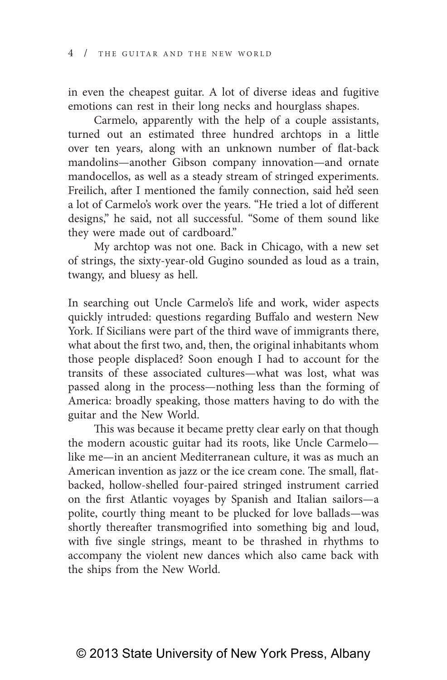in even the cheapest guitar. A lot of diverse ideas and fugitive emotions can rest in their long necks and hourglass shapes.

Carmelo, apparently with the help of a couple assistants, turned out an estimated three hundred archtops in a little over ten years, along with an unknown number of flat-back mandolins—another Gibson company innovation—and ornate mandocellos, as well as a steady stream of stringed experiments. Freilich, after I mentioned the family connection, said he'd seen a lot of Carmelo's work over the years. "He tried a lot of different designs," he said, not all successful. "Some of them sound like they were made out of cardboard."

My archtop was not one. Back in Chicago, with a new set of strings, the sixty-year-old Gugino sounded as loud as a train, twangy, and bluesy as hell.

In searching out Uncle Carmelo's life and work, wider aspects quickly intruded: questions regarding Buffalo and western New York. If Sicilians were part of the third wave of immigrants there, what about the first two, and, then, the original inhabitants whom those people displaced? Soon enough I had to account for the transits of these associated cultures—what was lost, what was passed along in the process—nothing less than the forming of America: broadly speaking, those matters having to do with the guitar and the New World.

This was because it became pretty clear early on that though the modern acoustic guitar had its roots, like Uncle Carmelo like me—in an ancient Mediterranean culture, it was as much an American invention as jazz or the ice cream cone. The small, flatbacked, hollow-shelled four-paired stringed instrument carried on the first Atlantic voyages by Spanish and Italian sailors—a polite, courtly thing meant to be plucked for love ballads—was shortly thereafter transmogrified into something big and loud, with five single strings, meant to be thrashed in rhythms to accompany the violent new dances which also came back with the ships from the New World.